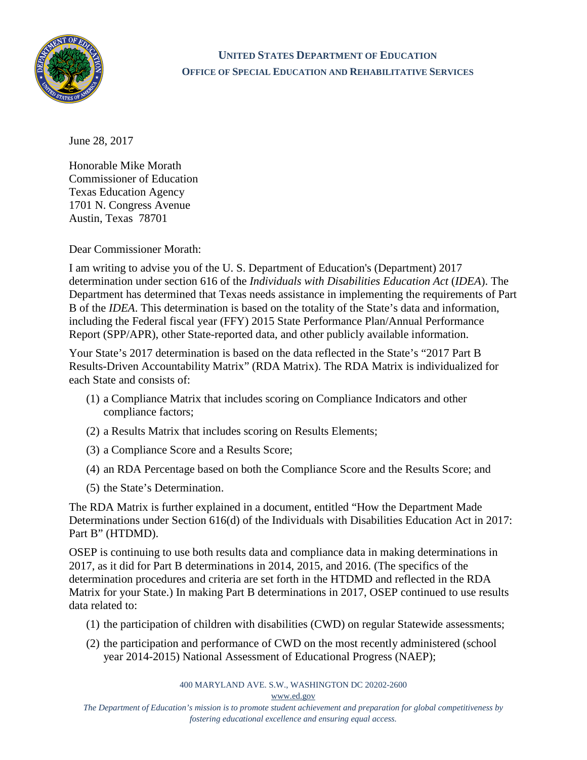

## **UNITED STATES DEPARTMENT OF EDUCATION OFFICE OF SPECIAL EDUCATION AND REHABILITATIVE SERVICES**

June 28, 2017

Honorable Mike Morath Commissioner of Education Texas Education Agency 1701 N. Congress Avenue Austin, Texas 78701

Dear Commissioner Morath:

I am writing to advise you of the U. S. Department of Education's (Department) 2017 determination under section 616 of the *Individuals with Disabilities Education Act* (*IDEA*). The Department has determined that Texas needs assistance in implementing the requirements of Part B of the *IDEA*. This determination is based on the totality of the State's data and information, including the Federal fiscal year (FFY) 2015 State Performance Plan/Annual Performance Report (SPP/APR), other State-reported data, and other publicly available information.

Your State's 2017 determination is based on the data reflected in the State's "2017 Part B Results-Driven Accountability Matrix" (RDA Matrix). The RDA Matrix is individualized for each State and consists of:

- (1) a Compliance Matrix that includes scoring on Compliance Indicators and other compliance factors;
- (2) a Results Matrix that includes scoring on Results Elements;
- (3) a Compliance Score and a Results Score;
- (4) an RDA Percentage based on both the Compliance Score and the Results Score; and
- (5) the State's Determination.

The RDA Matrix is further explained in a document, entitled "How the Department Made Determinations under Section 616(d) of the Individuals with Disabilities Education Act in 2017: Part B" (HTDMD).

OSEP is continuing to use both results data and compliance data in making determinations in 2017, as it did for Part B determinations in 2014, 2015, and 2016. (The specifics of the determination procedures and criteria are set forth in the HTDMD and reflected in the RDA Matrix for your State.) In making Part B determinations in 2017, OSEP continued to use results data related to:

- (1) the participation of children with disabilities (CWD) on regular Statewide assessments;
- (2) the participation and performance of CWD on the most recently administered (school year 2014-2015) National Assessment of Educational Progress (NAEP);

400 MARYLAND AVE. S.W., WASHINGTON DC 20202-2600

[www.ed.gov](http://www.ed.gov/)

*The Department of Education's mission is to promote student achievement and preparation for global competitiveness by fostering educational excellence and ensuring equal access.*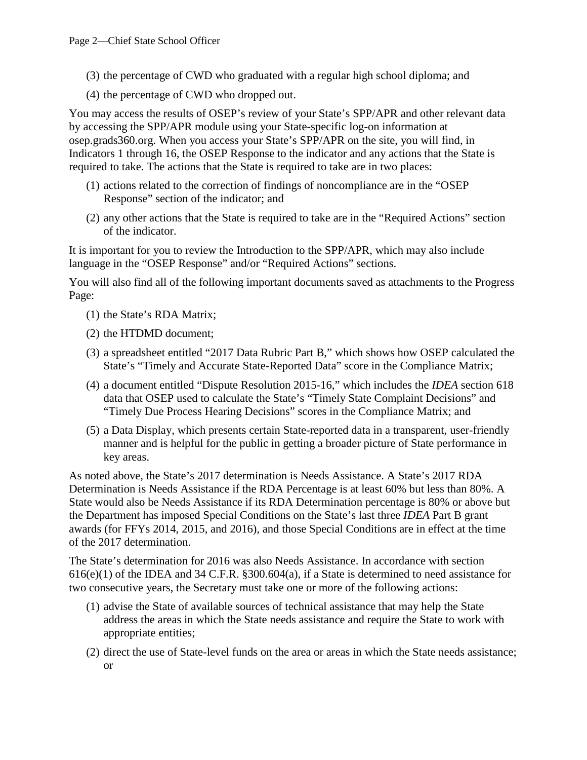- (3) the percentage of CWD who graduated with a regular high school diploma; and
- (4) the percentage of CWD who dropped out.

You may access the results of OSEP's review of your State's SPP/APR and other relevant data by accessing the SPP/APR module using your State-specific log-on information at osep.grads360.org. When you access your State's SPP/APR on the site, you will find, in Indicators 1 through 16, the OSEP Response to the indicator and any actions that the State is required to take. The actions that the State is required to take are in two places:

- (1) actions related to the correction of findings of noncompliance are in the "OSEP Response" section of the indicator; and
- (2) any other actions that the State is required to take are in the "Required Actions" section of the indicator.

It is important for you to review the Introduction to the SPP/APR, which may also include language in the "OSEP Response" and/or "Required Actions" sections.

You will also find all of the following important documents saved as attachments to the Progress Page:

- (1) the State's RDA Matrix;
- (2) the HTDMD document;
- (3) a spreadsheet entitled "2017 Data Rubric Part B," which shows how OSEP calculated the State's "Timely and Accurate State-Reported Data" score in the Compliance Matrix;
- (4) a document entitled "Dispute Resolution 2015-16," which includes the *IDEA* section 618 data that OSEP used to calculate the State's "Timely State Complaint Decisions" and "Timely Due Process Hearing Decisions" scores in the Compliance Matrix; and
- (5) a Data Display, which presents certain State-reported data in a transparent, user-friendly manner and is helpful for the public in getting a broader picture of State performance in key areas.

As noted above, the State's 2017 determination is Needs Assistance. A State's 2017 RDA Determination is Needs Assistance if the RDA Percentage is at least 60% but less than 80%. A State would also be Needs Assistance if its RDA Determination percentage is 80% or above but the Department has imposed Special Conditions on the State's last three *IDEA* Part B grant awards (for FFYs 2014, 2015, and 2016), and those Special Conditions are in effect at the time of the 2017 determination.

The State's determination for 2016 was also Needs Assistance. In accordance with section  $616(e)(1)$  of the IDEA and 34 C.F.R. §300.604(a), if a State is determined to need assistance for two consecutive years, the Secretary must take one or more of the following actions:

- (1) advise the State of available sources of technical assistance that may help the State address the areas in which the State needs assistance and require the State to work with appropriate entities;
- (2) direct the use of State-level funds on the area or areas in which the State needs assistance; or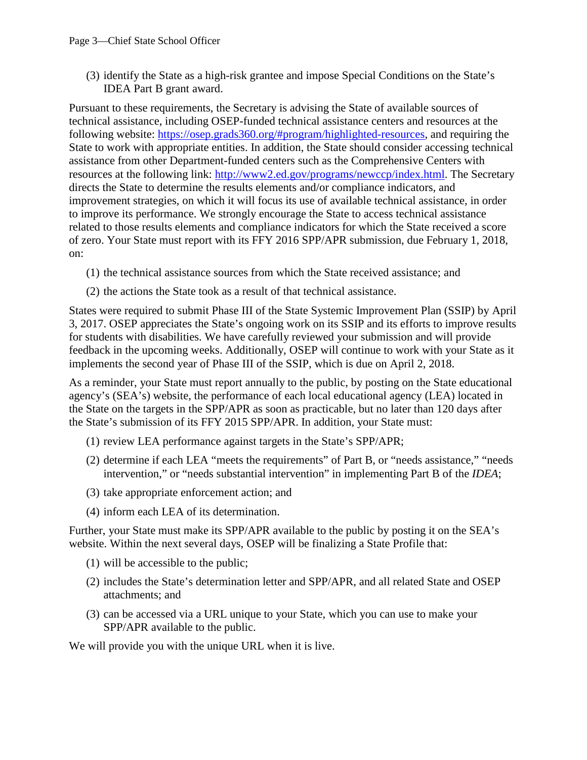(3) identify the State as a high-risk grantee and impose Special Conditions on the State's IDEA Part B grant award.

Pursuant to these requirements, the Secretary is advising the State of available sources of technical assistance, including OSEP-funded technical assistance centers and resources at the following website: [https://osep.grads360.org/#program/highlighted-resources,](https://osep.grads360.org/#program/highlighted-resources) and requiring the State to work with appropriate entities. In addition, the State should consider accessing technical assistance from other Department-funded centers such as the Comprehensive Centers with resources at the following link: [http://www2.ed.gov/programs/newccp/index.html.](http://www2.ed.gov/programs/newccp/index.html) The Secretary directs the State to determine the results elements and/or compliance indicators, and improvement strategies, on which it will focus its use of available technical assistance, in order to improve its performance. We strongly encourage the State to access technical assistance related to those results elements and compliance indicators for which the State received a score of zero. Your State must report with its FFY 2016 SPP/APR submission, due February 1, 2018, on:

- (1) the technical assistance sources from which the State received assistance; and
- (2) the actions the State took as a result of that technical assistance.

States were required to submit Phase III of the State Systemic Improvement Plan (SSIP) by April 3, 2017. OSEP appreciates the State's ongoing work on its SSIP and its efforts to improve results for students with disabilities. We have carefully reviewed your submission and will provide feedback in the upcoming weeks. Additionally, OSEP will continue to work with your State as it implements the second year of Phase III of the SSIP, which is due on April 2, 2018.

As a reminder, your State must report annually to the public, by posting on the State educational agency's (SEA's) website, the performance of each local educational agency (LEA) located in the State on the targets in the SPP/APR as soon as practicable, but no later than 120 days after the State's submission of its FFY 2015 SPP/APR. In addition, your State must:

- (1) review LEA performance against targets in the State's SPP/APR;
- (2) determine if each LEA "meets the requirements" of Part B, or "needs assistance," "needs intervention," or "needs substantial intervention" in implementing Part B of the *IDEA*;
- (3) take appropriate enforcement action; and
- (4) inform each LEA of its determination.

Further, your State must make its SPP/APR available to the public by posting it on the SEA's website. Within the next several days, OSEP will be finalizing a State Profile that:

- (1) will be accessible to the public;
- (2) includes the State's determination letter and SPP/APR, and all related State and OSEP attachments; and
- (3) can be accessed via a URL unique to your State, which you can use to make your SPP/APR available to the public.

We will provide you with the unique URL when it is live.